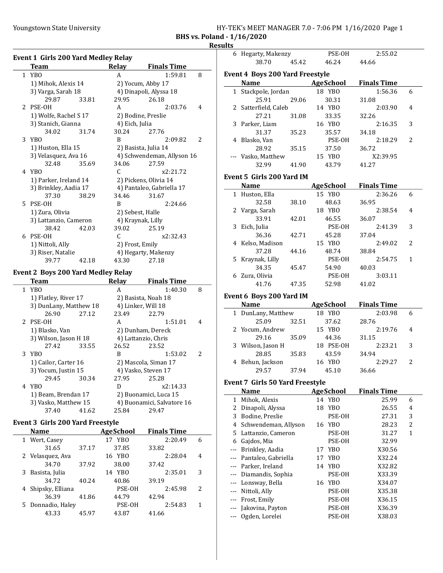Youngstown State University

| HY-TEK's MEET MANAGER 7.0 - 7:06 PM 1/16/2020 Page 1 |  |
|------------------------------------------------------|--|
| .                                                    |  |

BHS vs. Poland - 1/16/2020

#### **Results**

| Team                  | Relay                                                                                                                                                                                                                                                                                                                                                      | <b>Finals Time</b>                                                                                                               |                                                                                                                                                                                                                                                                                                                                                                                                                                                                                                                                                                      |
|-----------------------|------------------------------------------------------------------------------------------------------------------------------------------------------------------------------------------------------------------------------------------------------------------------------------------------------------------------------------------------------------|----------------------------------------------------------------------------------------------------------------------------------|----------------------------------------------------------------------------------------------------------------------------------------------------------------------------------------------------------------------------------------------------------------------------------------------------------------------------------------------------------------------------------------------------------------------------------------------------------------------------------------------------------------------------------------------------------------------|
| YB <sub>0</sub>       | A                                                                                                                                                                                                                                                                                                                                                          | 1:59.81                                                                                                                          | 8                                                                                                                                                                                                                                                                                                                                                                                                                                                                                                                                                                    |
| 1) Mihok, Alexis 14   |                                                                                                                                                                                                                                                                                                                                                            |                                                                                                                                  |                                                                                                                                                                                                                                                                                                                                                                                                                                                                                                                                                                      |
| 3) Varga, Sarah 18    |                                                                                                                                                                                                                                                                                                                                                            |                                                                                                                                  |                                                                                                                                                                                                                                                                                                                                                                                                                                                                                                                                                                      |
| 29.87<br>33.81        | 29.95                                                                                                                                                                                                                                                                                                                                                      | 26.18                                                                                                                            |                                                                                                                                                                                                                                                                                                                                                                                                                                                                                                                                                                      |
| PSE-OH                | A                                                                                                                                                                                                                                                                                                                                                          | 2:03.76                                                                                                                          | 4                                                                                                                                                                                                                                                                                                                                                                                                                                                                                                                                                                    |
| 1) Wolfe, Rachel S 17 |                                                                                                                                                                                                                                                                                                                                                            |                                                                                                                                  |                                                                                                                                                                                                                                                                                                                                                                                                                                                                                                                                                                      |
| 3) Stanich, Gianna    |                                                                                                                                                                                                                                                                                                                                                            |                                                                                                                                  |                                                                                                                                                                                                                                                                                                                                                                                                                                                                                                                                                                      |
| 34.02<br>31.74        | 30.24                                                                                                                                                                                                                                                                                                                                                      | 27.76                                                                                                                            |                                                                                                                                                                                                                                                                                                                                                                                                                                                                                                                                                                      |
| YB <sub>0</sub>       | B                                                                                                                                                                                                                                                                                                                                                          | 2:09.82                                                                                                                          | 2                                                                                                                                                                                                                                                                                                                                                                                                                                                                                                                                                                    |
| 1) Huston, Ella 15    |                                                                                                                                                                                                                                                                                                                                                            |                                                                                                                                  |                                                                                                                                                                                                                                                                                                                                                                                                                                                                                                                                                                      |
| 3) Velasquez, Ava 16  |                                                                                                                                                                                                                                                                                                                                                            |                                                                                                                                  |                                                                                                                                                                                                                                                                                                                                                                                                                                                                                                                                                                      |
| 32.48<br>35.69        | 34.06                                                                                                                                                                                                                                                                                                                                                      | 27.59                                                                                                                            |                                                                                                                                                                                                                                                                                                                                                                                                                                                                                                                                                                      |
| YB <sub>0</sub>       | C                                                                                                                                                                                                                                                                                                                                                          | x2:21.72                                                                                                                         |                                                                                                                                                                                                                                                                                                                                                                                                                                                                                                                                                                      |
|                       |                                                                                                                                                                                                                                                                                                                                                            |                                                                                                                                  |                                                                                                                                                                                                                                                                                                                                                                                                                                                                                                                                                                      |
| 3) Brinkley, Aadia 17 |                                                                                                                                                                                                                                                                                                                                                            |                                                                                                                                  |                                                                                                                                                                                                                                                                                                                                                                                                                                                                                                                                                                      |
| 37.30<br>38.29        | 34.46                                                                                                                                                                                                                                                                                                                                                      | 31.67                                                                                                                            |                                                                                                                                                                                                                                                                                                                                                                                                                                                                                                                                                                      |
| PSE-OH                | B                                                                                                                                                                                                                                                                                                                                                          | 2:24.66                                                                                                                          |                                                                                                                                                                                                                                                                                                                                                                                                                                                                                                                                                                      |
|                       |                                                                                                                                                                                                                                                                                                                                                            |                                                                                                                                  |                                                                                                                                                                                                                                                                                                                                                                                                                                                                                                                                                                      |
|                       |                                                                                                                                                                                                                                                                                                                                                            |                                                                                                                                  |                                                                                                                                                                                                                                                                                                                                                                                                                                                                                                                                                                      |
| 38.42<br>42.03        | 39.02                                                                                                                                                                                                                                                                                                                                                      | 25.19                                                                                                                            |                                                                                                                                                                                                                                                                                                                                                                                                                                                                                                                                                                      |
| PSE-OH                | C                                                                                                                                                                                                                                                                                                                                                          | x2:32.43                                                                                                                         |                                                                                                                                                                                                                                                                                                                                                                                                                                                                                                                                                                      |
|                       |                                                                                                                                                                                                                                                                                                                                                            |                                                                                                                                  |                                                                                                                                                                                                                                                                                                                                                                                                                                                                                                                                                                      |
| 3) Riser, Natalie     |                                                                                                                                                                                                                                                                                                                                                            |                                                                                                                                  |                                                                                                                                                                                                                                                                                                                                                                                                                                                                                                                                                                      |
| 39.77<br>42.18        | 43.30                                                                                                                                                                                                                                                                                                                                                      | 27.18                                                                                                                            |                                                                                                                                                                                                                                                                                                                                                                                                                                                                                                                                                                      |
|                       |                                                                                                                                                                                                                                                                                                                                                            |                                                                                                                                  |                                                                                                                                                                                                                                                                                                                                                                                                                                                                                                                                                                      |
| <b>Team</b>           |                                                                                                                                                                                                                                                                                                                                                            |                                                                                                                                  |                                                                                                                                                                                                                                                                                                                                                                                                                                                                                                                                                                      |
| YB <sub>0</sub>       | A                                                                                                                                                                                                                                                                                                                                                          | 1:40.30                                                                                                                          | 8                                                                                                                                                                                                                                                                                                                                                                                                                                                                                                                                                                    |
|                       |                                                                                                                                                                                                                                                                                                                                                            |                                                                                                                                  |                                                                                                                                                                                                                                                                                                                                                                                                                                                                                                                                                                      |
|                       |                                                                                                                                                                                                                                                                                                                                                            |                                                                                                                                  |                                                                                                                                                                                                                                                                                                                                                                                                                                                                                                                                                                      |
| 27.12                 |                                                                                                                                                                                                                                                                                                                                                            |                                                                                                                                  |                                                                                                                                                                                                                                                                                                                                                                                                                                                                                                                                                                      |
|                       | A                                                                                                                                                                                                                                                                                                                                                          |                                                                                                                                  | 4                                                                                                                                                                                                                                                                                                                                                                                                                                                                                                                                                                    |
|                       |                                                                                                                                                                                                                                                                                                                                                            |                                                                                                                                  |                                                                                                                                                                                                                                                                                                                                                                                                                                                                                                                                                                      |
|                       |                                                                                                                                                                                                                                                                                                                                                            |                                                                                                                                  |                                                                                                                                                                                                                                                                                                                                                                                                                                                                                                                                                                      |
|                       |                                                                                                                                                                                                                                                                                                                                                            |                                                                                                                                  |                                                                                                                                                                                                                                                                                                                                                                                                                                                                                                                                                                      |
|                       |                                                                                                                                                                                                                                                                                                                                                            |                                                                                                                                  | 2                                                                                                                                                                                                                                                                                                                                                                                                                                                                                                                                                                    |
|                       |                                                                                                                                                                                                                                                                                                                                                            |                                                                                                                                  |                                                                                                                                                                                                                                                                                                                                                                                                                                                                                                                                                                      |
|                       |                                                                                                                                                                                                                                                                                                                                                            |                                                                                                                                  |                                                                                                                                                                                                                                                                                                                                                                                                                                                                                                                                                                      |
|                       |                                                                                                                                                                                                                                                                                                                                                            |                                                                                                                                  |                                                                                                                                                                                                                                                                                                                                                                                                                                                                                                                                                                      |
| YB <sub>0</sub>       | D                                                                                                                                                                                                                                                                                                                                                          |                                                                                                                                  |                                                                                                                                                                                                                                                                                                                                                                                                                                                                                                                                                                      |
|                       |                                                                                                                                                                                                                                                                                                                                                            |                                                                                                                                  |                                                                                                                                                                                                                                                                                                                                                                                                                                                                                                                                                                      |
|                       |                                                                                                                                                                                                                                                                                                                                                            |                                                                                                                                  |                                                                                                                                                                                                                                                                                                                                                                                                                                                                                                                                                                      |
|                       | 1) Parker, Ireland 14<br>1) Zura, Olivia<br>3) Lattanzio, Cameron<br>1) Nittoli, Ally<br>1) Flatley, River 17<br>3) DunLany, Matthew 18<br>26.90<br>PSE-OH<br>1) Blasko, Van<br>3) Wilson, Jason H 18<br>27.42<br>33.55<br>YB <sub>0</sub><br>1) Cailor, Carter 16<br>3) Yocum, Justin 15<br>29.45<br>30.34<br>1) Beam, Brendan 17<br>3) Vasko, Matthew 15 | <b>Event 1 Girls 200 Yard Medley Relay</b><br><b>Event 2 Boys 200 Yard Medley Relay</b><br>Relay<br>23.49<br>26.52<br>B<br>27.95 | 2) Yocum, Abby 17<br>4) Dinapoli, Alyssa 18<br>2) Bodine, Preslie<br>4) Eich, Julia<br>2) Basista, Julia 14<br>4) Schwendeman, Allyson 16<br>2) Pickens, Olivia 14<br>4) Pantaleo, Gabriella 17<br>2) Sebest, Halle<br>4) Kraynak, Lilly<br>2) Frost, Emily<br>4) Hegarty, Makenzy<br><b>Finals Time</b><br>2) Basista, Noah 18<br>4) Linker, Will 18<br>22.79<br>1:51.01<br>2) Dunham, Dereck<br>4) Lattanzio, Chris<br>23.52<br>1:53.02<br>2) Mascola, Siman 17<br>4) Vasko, Steven 17<br>25.28<br>x2:14.33<br>2) Buonamici, Luca 15<br>4) Buonamici, Salvatore 16 |

### Event 3 Girls 200 Yard Freestyle

| <b>Name</b>        |       | <b>AgeSchool</b> | <b>Finals Time</b> |                          |
|--------------------|-------|------------------|--------------------|--------------------------|
| 1 Wert, Casey      |       | 17 YBO           | 2:20.49            | 6                        |
| 31.65              | 37.17 | 37.85            | 33.82              |                          |
| 2 Velasquez, Ava   |       | 16 YBO           | 2:28.04            | 4                        |
| 34.70              | 37.92 | 38.00            | 37.42              |                          |
| 3 Basista, Julia   |       | YBO<br>14        | 2:35.01            | 3                        |
| 34.72              | 40.24 | 40.86            | 39.19              |                          |
| 4 Shipsky, Elliana |       | PSE-OH           | 2:45.98            | $\overline{\mathcal{L}}$ |
| 36.39              | 41.86 | 44.79            | 42.94              |                          |
| 5 Donnadio, Haley  |       | PSE-OH           | 2:54.83            | 1                        |
| 43.33              | 45.97 | 43.87            | 41.66              |                          |

37.40 41.62 25.84 29.47

|       | 6 Hegarty, Makenzy                     |       | PSE-OH                | 2:55.02            |              |
|-------|----------------------------------------|-------|-----------------------|--------------------|--------------|
|       | 38.70                                  | 45.42 | 46.24                 | 44.66              |              |
|       |                                        |       |                       |                    |              |
|       | <b>Event 4 Boys 200 Yard Freestyle</b> |       |                       |                    |              |
|       | <b>Name</b>                            |       | AgeSchool             | <b>Finals Time</b> |              |
|       | 1 Stackpole, Jordan                    |       | 18 YBO                | 1:56.36            | 6            |
|       | 25.91                                  | 29.06 | 30.31                 | 31.08              |              |
|       | 2 Satterfield, Caleb                   |       | 14 YBO                | 2:03.90            | 4            |
|       | 27.21                                  | 31.08 | 33.35                 | 32.26              |              |
|       | 3 Parker, Liam                         |       | 16 YBO                | 2:16.35            | 3            |
|       | 31.37                                  | 35.23 | 35.57                 | 34.18              |              |
|       | 4 Blasko, Van                          |       | PSE-OH                | 2:18.29            | 2            |
|       | 28.92                                  | 35.15 | 37.50                 | 36.72              |              |
|       | --- Vasko, Matthew                     |       | 15 YBO                | X2:39.95           |              |
|       | 32.99                                  | 41.90 | 43.79                 | 41.27              |              |
|       |                                        |       |                       |                    |              |
|       | Event 5 Girls 200 Yard IM              |       |                       |                    |              |
|       | Name                                   |       | AgeSchool             | <b>Finals Time</b> |              |
|       | 1 Huston, Ella                         |       | 15 YBO                | 2:36.26            | 6            |
|       | 32.58                                  | 38.10 | 48.63                 | 36.95              |              |
|       | 2 Varga, Sarah                         |       | 18 YBO                | 2:38.54            | 4            |
|       | 33.91                                  | 42.01 | 46.55                 | 36.07              |              |
| 3     | Eich, Julia                            |       | PSE-OH                | 2:41.39            | 3            |
|       | 36.36                                  | 42.71 | 45.28                 | 37.04              |              |
|       | 4 Kelso, Madison                       |       | 15 YBO                | 2:49.02            | 2            |
|       | 37.28                                  | 44.16 | 48.74                 | 38.84              |              |
|       | 5 Kraynak, Lilly                       |       | PSE-OH                | 2:54.75            | $\mathbf{1}$ |
|       | 34.35                                  | 45.47 | 54.90                 | 40.03              |              |
|       | 6 Zura, Olivia                         |       | PSE-OH                | 3:03.11            |              |
|       | 41.76                                  | 47.35 | 52.98                 | 41.02              |              |
|       |                                        |       |                       |                    |              |
|       |                                        |       |                       |                    |              |
|       | Event 6 Boys 200 Yard IM               |       |                       |                    |              |
|       | Name                                   |       | <b>AgeSchool</b>      | <b>Finals Time</b> |              |
|       | 1 DunLany, Matthew                     |       | 18 YBO                | 2:03.98            | 6            |
|       | 25.09                                  | 32.51 | 37.62                 | 28.76              |              |
|       | 2 Yocum, Andrew                        |       | 15 YBO                | 2:19.76            | 4            |
|       | 29.16                                  | 35.09 | 44.36                 | 31.15              |              |
|       | 3 Wilson, Jason H                      |       | 18 PSE-OH             | 2:23.21            | 3            |
|       | 28.85                                  | 35.83 | 43.59                 | 34.94              |              |
|       | 4 Behun, Jackson                       |       | 16 YBO                | 2:29.27            | 2            |
|       | 29.57                                  | 37.94 | 45.10                 | 36.66              |              |
|       |                                        |       |                       |                    |              |
|       | <b>Event 7 Girls 50 Yard Freestyle</b> |       |                       |                    |              |
|       | <b>Name</b>                            |       | <b>AgeSchool</b>      | <b>Finals Time</b> |              |
| 1     | Mihok, Alexis                          |       | 14 YBO                | 25.99              | 6            |
| 2     | Dinapoli, Alyssa                       |       | 18<br>YB <sub>0</sub> | 26.55              | 4            |
| 3     | Bodine, Preslie                        |       | PSE-OH                | 27.31              | 3            |
| 4     | Schwendeman, Allyson                   |       | 16 YBO                | 28.23              | 2            |
| 5     | Lattanzio, Cameron                     |       | PSE-OH                | 31.27              | 1            |
|       | 6 Gajdos, Mia                          |       | PSE-OH                | 32.99              |              |
| $---$ | Brinkley, Aadia                        |       | 17<br>YBO             | X30.56             |              |
|       | --- Pantaleo, Gabriella                |       | 17<br>YBO             | X32.24             |              |
|       | --- Parker, Ireland                    |       | YB <sub>0</sub><br>14 | X32.82             |              |
|       | --- Diamandis, Sophia                  |       | PSE-OH                | X33.39             |              |
|       | --- Lonsway, Bella                     |       | 16<br>YBO             | X34.07             |              |
|       | --- Nittoli, Ally                      |       | PSE-OH                | X35.38             |              |
|       | --- Frost, Emily                       |       | PSE-OH                | X36.15             |              |
|       | Jakovina, Payton                       |       | PSE-OH                | X36.39             |              |
|       | Ogden, Lorelei                         |       | PSE-OH                | X38.03             |              |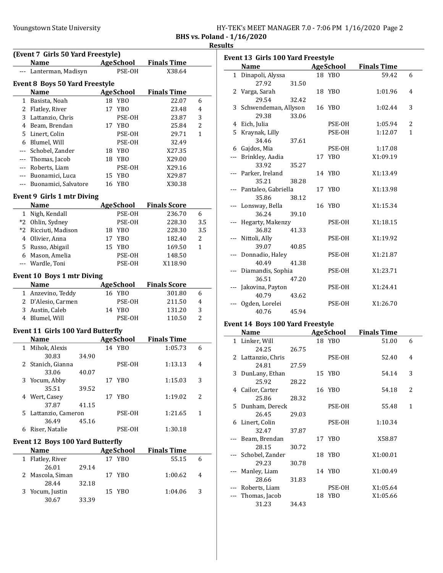|  | HY-TEK's MEET MANAGER 7.0 - 7:06 PM 1/16/2020 Page 2 |  |  |  |  |  |
|--|------------------------------------------------------|--|--|--|--|--|
|--|------------------------------------------------------|--|--|--|--|--|

BHS vs. Poland - 1/16/2020

<u>esults</u>

|              | (Event 7 Girls 50 Yard Freestyle)        |       |    |                  |                               | Re           |
|--------------|------------------------------------------|-------|----|------------------|-------------------------------|--------------|
|              | <b>Name</b>                              |       |    | <b>AgeSchool</b> | <b>Finals Time</b>            |              |
|              | --- Lanterman, Madisyn                   |       |    | PSE-OH           | X38.64                        |              |
|              | <b>Event 8 Boys 50 Yard Freestyle</b>    |       |    |                  |                               |              |
|              | <b>Name</b>                              |       |    | <b>AgeSchool</b> | <b>Finals Time</b>            |              |
|              | 1 Basista, Noah                          |       |    | 18 YBO           | 22.07                         | 6            |
|              | 2 Flatley, River                         |       | 17 | YBO              | 23.48                         | 4            |
|              | 3 Lattanzio, Chris                       |       |    | PSE-OH           | 23.87                         | 3            |
|              | 4 Beam, Brendan                          |       |    | 17 YBO           | 25.84                         | 2            |
|              | 5 Linert, Colin                          |       |    | PSE-OH           | 29.71                         | 1            |
|              | 6 Blumel, Will                           |       |    | PSE-OH           | 32.49                         |              |
|              |                                          |       |    | 18 YBO           | X27.35                        |              |
|              | --- Schobel, Zander                      |       |    |                  |                               |              |
|              | --- Thomas, Jacob                        |       |    | 18 YBO           | X29.00                        |              |
|              | --- Roberts, Liam                        |       |    | PSE-OH           | X29.16                        |              |
|              | --- Buonamici, Luca                      |       |    | 15 YBO           | X29.87                        |              |
|              | --- Buonamici, Salvatore                 |       |    | 16 YBO           | X30.38                        |              |
|              | Event 9 Girls 1 mtr Diving               |       |    |                  |                               |              |
|              | <b>Name</b>                              |       |    |                  | <b>AgeSchool</b> Finals Score |              |
|              | 1 Nigh, Kendall                          |       |    | PSE-OH           | 236.70                        | 6            |
|              | *2 Ohlin, Sydney                         |       |    | PSE-OH           | 228.30                        | 3.5          |
|              | *2 Ricciuti, Madison                     |       |    | 18 YBO           | 228.30                        | 3.5          |
|              | 4 Olivier, Anna                          |       |    | 17 YBO           | 182.40                        | 2            |
|              | 5 Russo, Abigail                         |       |    | 15 YBO           | 169.50                        | $\mathbf{1}$ |
|              | 6 Mason, Amelia                          |       |    | PSE-OH           | 148.50                        |              |
|              | --- Wardle, Toni                         |       |    | PSE-OH           | X118.90                       |              |
|              | <b>Event 10 Boys 1 mtr Diving</b>        |       |    |                  |                               |              |
|              | <b>Name</b>                              |       |    |                  | <b>AgeSchool</b> Finals Score |              |
|              | 1 Anzevino, Teddy                        |       |    | 16 YBO           | 301.80                        | 6            |
|              | 2 D'Alesio, Carmen                       |       |    | PSE-OH           | 211.50                        | 4            |
|              | 3 Austin, Caleb                          |       |    | 14 YBO           | 131.20                        | 3            |
|              | 4 Blumel, Will                           |       |    | PSE-OH           | 110.50                        | 2            |
|              | <b>Event 11 Girls 100 Yard Butterfly</b> |       |    |                  |                               |              |
|              | <b>Name</b>                              |       |    | <b>AgeSchool</b> | <b>Finals Time</b>            |              |
| $\mathbf{1}$ | Mihok, Alexis                            |       |    | 14 YBO           | 1:05.73                       | 6            |
|              | 30.83                                    | 34.90 |    |                  |                               |              |
| 2            | Stanich, Gianna                          |       |    | PSE-OH           | 1:13.13                       | 4            |
|              | 33.06                                    | 40.07 |    |                  |                               |              |
| 3            | Yocum, Abby                              |       |    | 17 YBO           | 1:15.03                       | 3            |
|              | 35.51                                    | 39.52 |    |                  |                               |              |
|              | 4 Wert, Casey                            |       |    | 17 YBO           | 1:19.02                       | 2            |
|              | 37.87                                    | 41.15 |    |                  |                               |              |
| 5.           | Lattanzio, Cameron                       |       |    | PSE-OH           | 1:21.65                       | $\mathbf{1}$ |
|              | 36.49                                    | 45.16 |    |                  |                               |              |
| 6            | Riser, Natalie                           |       |    | PSE-OH           | 1:30.18                       |              |
|              | <b>Event 12 Boys 100 Yard Butterfly</b>  |       |    |                  |                               |              |
|              | Name                                     |       |    | <b>AgeSchool</b> | <b>Finals Time</b>            |              |
|              | 1 Flatley, River                         |       |    | 17 YBO           | 55.15                         | 6            |
|              | 26.01                                    | 29.14 |    |                  |                               |              |
| 2            | Mascola, Siman                           |       |    | 17 YBO           | 1:00.62                       | 4            |
|              | 28.44                                    | 32.18 |    |                  |                               |              |
| 3            | Yocum, Justin                            |       |    | 15 YBO           | 1:04.06                       | 3            |
|              | 30.67                                    | 33.39 |    |                  |                               |              |

| Event 13 Girls 100 Yard Freestyle |       |    |                  |                    |              |
|-----------------------------------|-------|----|------------------|--------------------|--------------|
| <b>Name</b>                       |       |    | <b>AgeSchool</b> | <b>Finals Time</b> |              |
| 1 Dinapoli, Alyssa                |       |    | 18 YBO           | 59.42              | 6            |
| 27.92                             | 31.50 |    |                  |                    |              |
| 2 Varga, Sarah                    |       |    | 18 YBO           | 1:01.96            | 4            |
| 29.54                             | 32.42 |    |                  |                    |              |
| 3 Schwendeman, Allyson            |       |    | 16 YBO           | 1:02.44            | 3            |
| 29.38                             | 33.06 |    |                  |                    |              |
| 4 Eich, Julia                     |       |    | PSE-OH           | 1:05.94            | 2            |
| 5 Kraynak, Lilly                  |       |    | PSE-OH           | 1:12.07            | $\mathbf{1}$ |
| 34.46                             | 37.61 |    |                  |                    |              |
| 6 Gajdos, Mia                     |       |    | PSE-OH           | 1:17.08            |              |
| --- Brinkley, Aadia               |       | 17 | YBO              | X1:09.19           |              |
| 33.92                             | 35.27 |    |                  |                    |              |
| --- Parker, Ireland               |       |    | 14 YBO           | X1:13.49           |              |
| 35.21                             | 38.28 |    |                  |                    |              |
| Pantaleo, Gabriella               |       |    | 17 YBO           | X1:13.98           |              |
| 35.86                             | 38.12 |    |                  |                    |              |
| Lonsway, Bella                    |       |    | 16 YBO           | X1:15.34           |              |
| 36.24                             | 39.10 |    |                  |                    |              |
| Hegarty, Makenzy                  |       |    | PSE-OH           | X1:18.15           |              |
| 36.82                             | 41.33 |    |                  |                    |              |
| Nittoli, Ally                     |       |    | PSE-OH           | X1:19.92           |              |
| 39.07                             | 40.85 |    |                  |                    |              |
| Donnadio, Haley                   |       |    | PSE-OH           | X1:21.87           |              |
| 40.49                             | 41.38 |    |                  |                    |              |
| Diamandis, Sophia                 |       |    | PSE-OH           | X1:23.71           |              |
| 36.51                             | 47.20 |    |                  |                    |              |
| Jakovina, Payton                  |       |    | PSE-OH           | X1:24.41           |              |
| 40.79                             | 43.62 |    |                  |                    |              |
| Ogden, Lorelei                    |       |    | PSE-OH           | X1:26.70           |              |
| 40.76                             | 45.94 |    |                  |                    |              |
|                                   |       |    |                  |                    |              |
| Event 14 Boys 100 Yard Freestyle  |       |    |                  |                    |              |
| <b>Name</b>                       |       |    | <b>AgeSchool</b> | <b>Finals Time</b> |              |
| 1 Linker, Will                    |       |    | 18 YBO           | 51.00              | 6            |
| 24.25                             | 26.75 |    |                  |                    |              |
| 2 Lattanzio, Chris                |       |    | PSE-OH           | 52.40              | 4            |
| 24.81<br>3. DunLany Ethan         | 27.59 |    |                  |                    | 5            |
|                                   |       |    | 15 VRO           | 5A.1A              |              |

|     | 3 DunLany, Ethan    |       | 15 YBO | 54.14    | 3 |
|-----|---------------------|-------|--------|----------|---|
|     | 25.92               | 28.22 |        |          |   |
|     | 4 Cailor, Carter    |       | 16 YBO | 54.18    | 2 |
|     | 25.86               | 28.32 |        |          |   |
|     | 5 Dunham, Dereck    |       | PSE-OH | 55.48    | 1 |
|     | 26.45               | 29.03 |        |          |   |
|     | 6 Linert, Colin     |       | PSE-OH | 1:10.34  |   |
|     | 32.47               | 37.87 |        |          |   |
|     | --- Beam, Brendan   |       | 17 YBO | X58.87   |   |
|     | 28.15               | 30.72 |        |          |   |
|     | --- Schobel, Zander |       | 18 YBO | X1:00.01 |   |
|     | 29.23               | 30.78 |        |          |   |
|     | --- Manley, Liam    |       | 14 YBO | X1:00.49 |   |
|     | 28.66               | 31.83 |        |          |   |
|     | --- Roberts, Liam   |       | PSE-OH | X1:05.64 |   |
| --- | Thomas, Jacob       |       | 18 YBO | X1:05.66 |   |
|     | 31.23               | 34.43 |        |          |   |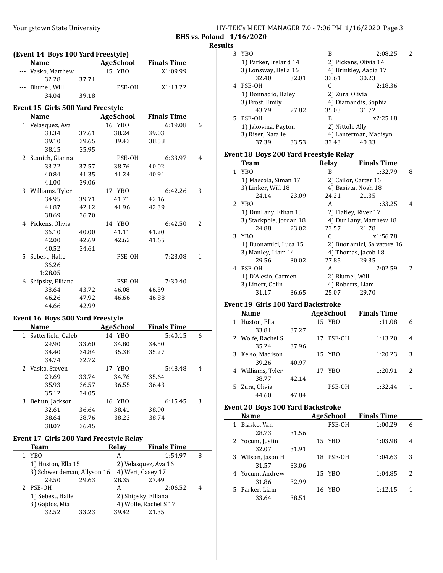|                            |  |  | HY-TEK's MEET MANAGER 7.0 - 7:06 PM 1/16/2020 Page 3 |  |
|----------------------------|--|--|------------------------------------------------------|--|
| BHS vs. Poland - 1/16/2020 |  |  |                                                      |  |

**Results** 

|              | (Event 14 Boys 100 Yard Freestyle) |       |                  |                    |                |
|--------------|------------------------------------|-------|------------------|--------------------|----------------|
|              | <b>Name</b>                        |       | AgeSchool        | <b>Finals Time</b> |                |
|              | --- Vasko, Matthew                 |       | 15 YBO           | X1:09.99           |                |
|              | 32.28                              | 37.71 |                  |                    |                |
|              | --- Blumel, Will                   |       | PSE-OH           | X1:13.22           |                |
|              | 34.04                              | 39.18 |                  |                    |                |
|              | Event 15 Girls 500 Yard Freestyle  |       |                  |                    |                |
|              | <b>Name</b>                        |       | <b>AgeSchool</b> | <b>Finals Time</b> |                |
|              | 1 Velasquez, Ava                   |       | 16 YBO           | 6:19.08            | 6              |
|              | 33.34                              | 37.61 | 38.24            | 39.03              |                |
|              | 39.10                              | 39.65 | 39.43            | 38.58              |                |
|              | 38.15                              | 35.95 |                  |                    |                |
|              | 2 Stanich, Gianna                  |       | PSE-OH           | 6:33.97            | 4              |
|              | 33.22                              | 37.57 | 38.76            | 40.02              |                |
|              | 40.84                              | 41.35 | 41.24            | 40.91              |                |
|              | 41.00                              | 39.06 |                  |                    |                |
|              | 3 Williams, Tyler                  |       | 17 YBO           | 6:42.26            | 3              |
|              | 34.95                              | 39.71 | 41.71            | 42.16              |                |
|              | 41.87                              | 42.12 | 41.96            | 42.39              |                |
|              | 38.69                              | 36.70 |                  |                    |                |
|              | 4 Pickens, Olivia                  |       | 14 YBO           | 6:42.50            | $\overline{2}$ |
|              | 36.10                              | 40.00 | 41.11            | 41.20              |                |
|              | 42.00                              | 42.69 | 42.62            | 41.65              |                |
|              | 40.52                              | 34.61 |                  |                    |                |
|              | 5 Sebest, Halle                    |       | PSE-OH           | 7:23.08            | $\mathbf{1}$   |
|              | 36.26                              |       |                  |                    |                |
|              | 1:28.05                            |       |                  |                    |                |
| 6            | Shipsky, Elliana                   |       | PSE-OH           | 7:30.40            |                |
|              | 38.64                              | 43.72 | 46.08            | 46.59              |                |
|              | 46.26                              | 47.92 | 46.66            | 46.88              |                |
|              | 44.66                              | 42.99 |                  |                    |                |
|              | Event 16 Boys 500 Yard Freestyle   |       |                  |                    |                |
|              | <b>Name</b>                        |       | <b>AgeSchool</b> | <b>Finals Time</b> |                |
| $\mathbf{1}$ | Satterfield, Caleb                 |       | 14 YBO           | 5:40.15            | 6              |
|              | 29.90                              | 33.60 | 34.80            | 34.50              |                |

|   | Satterfield, Caleb |       | 14 YBO | 5:40.15 | b |
|---|--------------------|-------|--------|---------|---|
|   | 29.90              | 33.60 | 34.80  | 34.50   |   |
|   | 34.40              | 34.84 | 35.38  | 35.27   |   |
|   | 34.74              | 32.72 |        |         |   |
|   | 2 Vasko, Steven    |       | 17 YBO | 5:48.48 | 4 |
|   | 29.69              | 33.74 | 34.76  | 35.64   |   |
|   | 35.93              | 36.57 | 36.55  | 36.43   |   |
|   | 35.12              | 34.05 |        |         |   |
| 3 | Behun, Jackson     |       | 16 YBO | 6:15.45 | 3 |
|   | 32.61              | 36.64 | 38.41  | 38.90   |   |
|   | 38.64              | 38.76 | 38.23  | 38.74   |   |
|   | 38.07              | 36.45 |        |         |   |

# Event 17 Girls 200 Yard Freestyle Relay

J.

| <b>Team</b>                |       | Relay | <b>Finals Time</b>    |   |
|----------------------------|-------|-------|-----------------------|---|
| YB <sub>0</sub>            |       | А     | 1:54.97               | 8 |
| 1) Huston, Ella 15         |       |       | 2) Velasquez, Ava 16  |   |
| 3) Schwendeman, Allyson 16 |       |       | 4) Wert, Casey 17     |   |
| 29.50                      | 29.63 | 28.35 | 27.49                 |   |
| 2 PSE-OH                   |       | А     | 2:06.52               | 4 |
| 1) Sebest, Halle           |       |       | 2) Shipsky, Elliana   |   |
| 3) Gajdos, Mia             |       |       | 4) Wolfe, Rachel S 17 |   |
| 32.52                      | 33.23 | 39.42 | 21.35                 |   |

| 3            | YBO                                       |       | B                | 2:08.25                    | 2 |
|--------------|-------------------------------------------|-------|------------------|----------------------------|---|
|              | 1) Parker, Ireland 14                     |       |                  | 2) Pickens, Olivia 14      |   |
|              | 3) Lonsway, Bella 16                      |       |                  | 4) Brinkley, Aadia 17      |   |
|              | 32.40                                     | 32.01 | 33.61            | 30.23                      |   |
|              | 4 PSE-OH                                  |       | C                | 2:18.36                    |   |
|              | 1) Donnadio, Haley                        |       | 2) Zura, Olivia  |                            |   |
|              | 3) Frost, Emily                           |       |                  | 4) Diamandis, Sophia       |   |
|              | 43.79                                     | 27.82 | 35.03            | 31.72                      |   |
|              | 5 PSE-OH                                  |       | B                | x2:25.18                   |   |
|              | 1) Jakovina, Payton                       |       | 2) Nittoli, Ally |                            |   |
|              | 3) Riser, Natalie                         |       |                  | 4) Lanterman, Madisyn      |   |
|              | 37.39                                     | 33.53 | 33.43            | 40.83                      |   |
|              | Event 18 Boys 200 Yard Freestyle Relay    |       |                  |                            |   |
|              | <b>Team</b>                               |       | <b>Relay</b>     | <b>Finals Time</b>         |   |
| $\mathbf{1}$ | YB <sub>0</sub>                           |       | R                | 1:32.79                    | 8 |
|              | 1) Mascola, Siman 17                      |       |                  | 2) Cailor, Carter 16       |   |
|              | 3) Linker, Will 18                        |       |                  | 4) Basista, Noah 18        |   |
|              | 24.14                                     | 23.09 | 24.21            | 21.35                      |   |
|              | 2 YBO                                     |       | A                | 1:33.25                    | 4 |
|              | 1) DunLany, Ethan 15                      |       |                  | 2) Flatley, River 17       |   |
|              | 3) Stackpole, Jordan 18                   |       |                  | 4) DunLany, Matthew 18     |   |
|              | 24.88                                     | 23.02 | 23.57            | 21.78                      |   |
|              | 3 YBO                                     |       | C                | x1:56.78                   |   |
|              | 1) Buonamici, Luca 15                     |       |                  | 2) Buonamici, Salvatore 16 |   |
|              | 3) Manley, Liam 14                        |       |                  | 4) Thomas, Jacob 18        |   |
|              | 29.56                                     | 30.02 | 27.85            | 29.35                      |   |
|              | 4 PSE-OH                                  |       | A                | 2:02.59                    | 2 |
|              | 1) D'Alesio, Carmen                       |       | 2) Blumel, Will  |                            |   |
|              | 3) Linert, Colin                          |       | 4) Roberts, Liam |                            |   |
|              | 31.17                                     | 36.65 | 25.07            | 29.70                      |   |
|              | <b>Event 19 Girls 100 Yard Backstroke</b> |       |                  |                            |   |
|              | Name                                      |       | <b>AgeSchool</b> | <b>Finals Time</b>         |   |

| <b>Name</b>       |       |    | <b>AgeSchool</b> | <b>Finals Time</b> |   |
|-------------------|-------|----|------------------|--------------------|---|
| 1 Huston, Ella    |       |    | 15 YBO           | 1:11.08            | 6 |
| 33.81             | 37.27 |    |                  |                    |   |
| 2 Wolfe, Rachel S |       | 17 | PSE-OH           | 1:13.20            | 4 |
| 35.24             | 37.96 |    |                  |                    |   |
| 3 Kelso, Madison  |       |    | 15 YBO           | 1:20.23            | 3 |
| 39.26             | 40.97 |    |                  |                    |   |
| 4 Williams, Tyler |       |    | 17 YBO           | 1:20.91            | 2 |
| 38.77             | 42.14 |    |                  |                    |   |
| 5 Zura, Olivia    |       |    | PSE-OH           | 1:32.44            |   |
| 44.60             | 47.84 |    |                  |                    |   |

# Event 20 Boys 100 Yard Backstroke

| Name              |       | <b>AgeSchool</b> | <b>Finals Time</b> |   |
|-------------------|-------|------------------|--------------------|---|
| Blasko, Van<br>1  |       | PSE-OH           | 1:00.29            | 6 |
| 28.73             | 31.56 |                  |                    |   |
| 2 Yocum, Justin   |       | 15 YBO           | 1:03.98            | 4 |
| 32.07             | 31.91 |                  |                    |   |
| 3 Wilson, Jason H |       | PSE-OH<br>18     | 1:04.63            | 3 |
| 31.57             | 33.06 |                  |                    |   |
| 4 Yocum, Andrew   |       | 15 YBO           | 1:04.85            | 2 |
| 31.86             | 32.99 |                  |                    |   |
| 5 Parker, Liam    |       | YBO<br>16        | 1:12.15            |   |
| 33.64             | 38.51 |                  |                    |   |